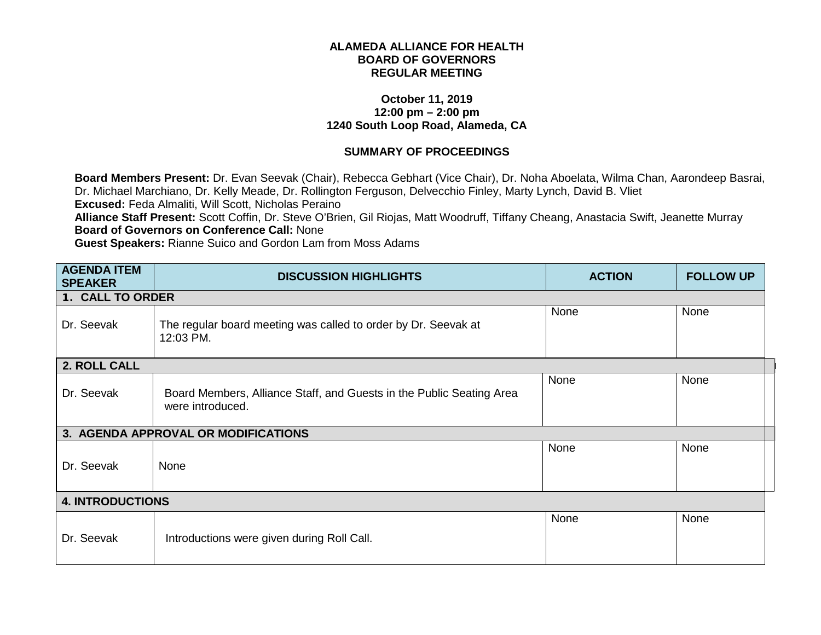## **ALAMEDA ALLIANCE FOR HEALTH BOARD OF GOVERNORS REGULAR MEETING**

## **October 11, 2019 12:00 pm – 2:00 pm 1240 South Loop Road, Alameda, CA**

## **SUMMARY OF PROCEEDINGS**

**Board Members Present:** Dr. Evan Seevak (Chair), Rebecca Gebhart (Vice Chair), Dr. Noha Aboelata, Wilma Chan, Aarondeep Basrai, Dr. Michael Marchiano, Dr. Kelly Meade, Dr. Rollington Ferguson, Delvecchio Finley, Marty Lynch, David B. Vliet **Excused:** Feda Almaliti, Will Scott, Nicholas Peraino **Alliance Staff Present:** Scott Coffin, Dr. Steve O'Brien, Gil Riojas, Matt Woodruff, Tiffany Cheang, Anastacia Swift, Jeanette Murray **Board of Governors on Conference Call:** None **Guest Speakers:** Rianne Suico and Gordon Lam from Moss Adams

| <b>AGENDA ITEM</b><br><b>SPEAKER</b> | <b>DISCUSSION HIGHLIGHTS</b>                                                             | <b>ACTION</b> | <b>FOLLOW UP</b> |
|--------------------------------------|------------------------------------------------------------------------------------------|---------------|------------------|
| 1. CALL TO ORDER                     |                                                                                          |               |                  |
| Dr. Seevak                           | The regular board meeting was called to order by Dr. Seevak at<br>12:03 PM.              | None          | None             |
| 2. ROLL CALL                         |                                                                                          |               |                  |
| Dr. Seevak                           | Board Members, Alliance Staff, and Guests in the Public Seating Area<br>were introduced. | None          | None             |
|                                      | 3. AGENDA APPROVAL OR MODIFICATIONS                                                      |               |                  |
| Dr. Seevak                           | None                                                                                     | None          | None             |
| <b>4. INTRODUCTIONS</b>              |                                                                                          |               |                  |
| Dr. Seevak                           | Introductions were given during Roll Call.                                               | None          | None             |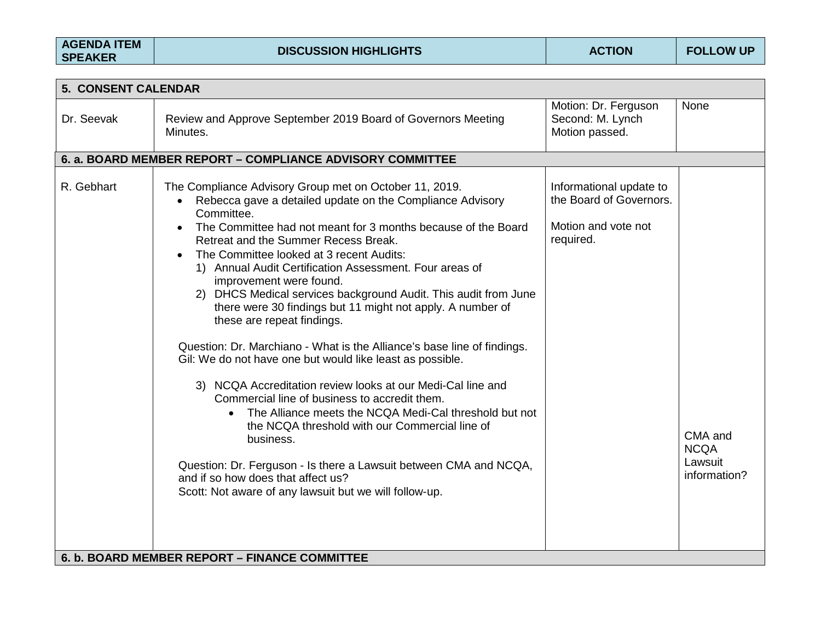| <b>AGENDA ITEM</b> |
|--------------------|
| <b>SPEAKER</b>     |

| <b>5. CONSENT CALENDAR</b> |                                                                                                                                                                                                                                                                                                                                                                                                                                                                                                                                                                                                                                                                                                                                                                                                                                                                                                                                                                                                                                                                                                                             |                                                                                        |                                                   |
|----------------------------|-----------------------------------------------------------------------------------------------------------------------------------------------------------------------------------------------------------------------------------------------------------------------------------------------------------------------------------------------------------------------------------------------------------------------------------------------------------------------------------------------------------------------------------------------------------------------------------------------------------------------------------------------------------------------------------------------------------------------------------------------------------------------------------------------------------------------------------------------------------------------------------------------------------------------------------------------------------------------------------------------------------------------------------------------------------------------------------------------------------------------------|----------------------------------------------------------------------------------------|---------------------------------------------------|
| Dr. Seevak                 | Review and Approve September 2019 Board of Governors Meeting<br>Minutes.                                                                                                                                                                                                                                                                                                                                                                                                                                                                                                                                                                                                                                                                                                                                                                                                                                                                                                                                                                                                                                                    | Motion: Dr. Ferguson<br>Second: M. Lynch<br>Motion passed.                             | <b>None</b>                                       |
|                            | 6. a. BOARD MEMBER REPORT - COMPLIANCE ADVISORY COMMITTEE                                                                                                                                                                                                                                                                                                                                                                                                                                                                                                                                                                                                                                                                                                                                                                                                                                                                                                                                                                                                                                                                   |                                                                                        |                                                   |
| R. Gebhart                 | The Compliance Advisory Group met on October 11, 2019.<br>Rebecca gave a detailed update on the Compliance Advisory<br>Committee.<br>The Committee had not meant for 3 months because of the Board<br>$\bullet$<br>Retreat and the Summer Recess Break.<br>The Committee looked at 3 recent Audits:<br>$\bullet$<br>1) Annual Audit Certification Assessment. Four areas of<br>improvement were found.<br>2) DHCS Medical services background Audit. This audit from June<br>there were 30 findings but 11 might not apply. A number of<br>these are repeat findings.<br>Question: Dr. Marchiano - What is the Alliance's base line of findings.<br>Gil: We do not have one but would like least as possible.<br>3) NCQA Accreditation review looks at our Medi-Cal line and<br>Commercial line of business to accredit them.<br>The Alliance meets the NCQA Medi-Cal threshold but not<br>the NCQA threshold with our Commercial line of<br>business.<br>Question: Dr. Ferguson - Is there a Lawsuit between CMA and NCQA,<br>and if so how does that affect us?<br>Scott: Not aware of any lawsuit but we will follow-up. | Informational update to<br>the Board of Governors.<br>Motion and vote not<br>required. | CMA and<br><b>NCQA</b><br>Lawsuit<br>information? |
|                            | 6. b. BOARD MEMBER REPORT - FINANCE COMMITTEE                                                                                                                                                                                                                                                                                                                                                                                                                                                                                                                                                                                                                                                                                                                                                                                                                                                                                                                                                                                                                                                                               |                                                                                        |                                                   |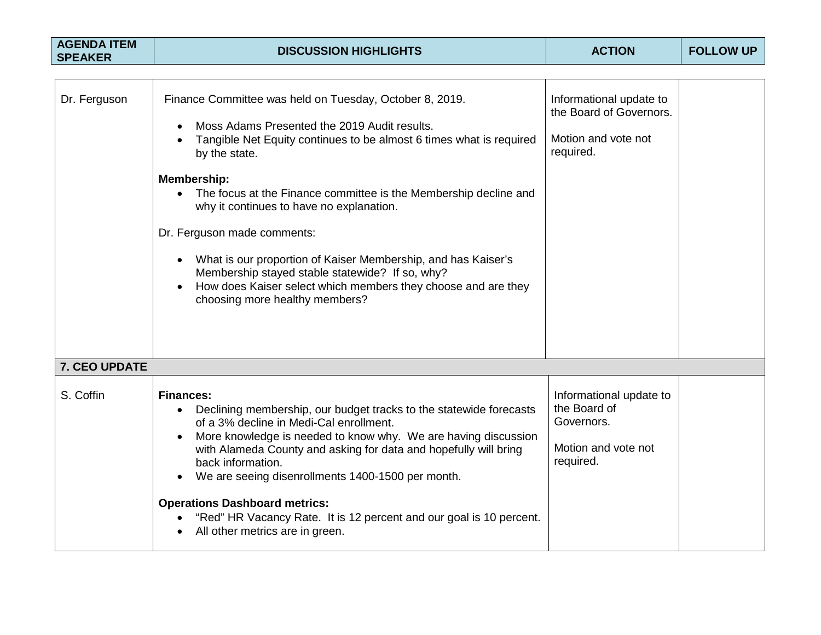| <b>AGENDA ITEM</b><br><b>SPEAKER</b> | <b>DISCUSSION HIGHLIGHTS</b>                                                                                                                                                                                                                                                                                                                                                                                                                                                                                                                                                                        | <b>ACTION</b>                                                                             | <b>FOLLOW UP</b> |
|--------------------------------------|-----------------------------------------------------------------------------------------------------------------------------------------------------------------------------------------------------------------------------------------------------------------------------------------------------------------------------------------------------------------------------------------------------------------------------------------------------------------------------------------------------------------------------------------------------------------------------------------------------|-------------------------------------------------------------------------------------------|------------------|
|                                      |                                                                                                                                                                                                                                                                                                                                                                                                                                                                                                                                                                                                     |                                                                                           |                  |
| Dr. Ferguson                         | Finance Committee was held on Tuesday, October 8, 2019.<br>Moss Adams Presented the 2019 Audit results.<br>Tangible Net Equity continues to be almost 6 times what is required<br>by the state.<br>Membership:<br>The focus at the Finance committee is the Membership decline and<br>why it continues to have no explanation.<br>Dr. Ferguson made comments:<br>• What is our proportion of Kaiser Membership, and has Kaiser's<br>Membership stayed stable statewide? If so, why?<br>How does Kaiser select which members they choose and are they<br>$\bullet$<br>choosing more healthy members? | Informational update to<br>the Board of Governors.<br>Motion and vote not<br>required.    |                  |
| 7. CEO UPDATE                        |                                                                                                                                                                                                                                                                                                                                                                                                                                                                                                                                                                                                     |                                                                                           |                  |
| S. Coffin                            | <b>Finances:</b><br>Declining membership, our budget tracks to the statewide forecasts<br>of a 3% decline in Medi-Cal enrollment.<br>More knowledge is needed to know why. We are having discussion<br>with Alameda County and asking for data and hopefully will bring<br>back information.<br>We are seeing disenrollments 1400-1500 per month.<br><b>Operations Dashboard metrics:</b><br>"Red" HR Vacancy Rate. It is 12 percent and our goal is 10 percent.<br>All other metrics are in green.                                                                                                 | Informational update to<br>the Board of<br>Governors.<br>Motion and vote not<br>required. |                  |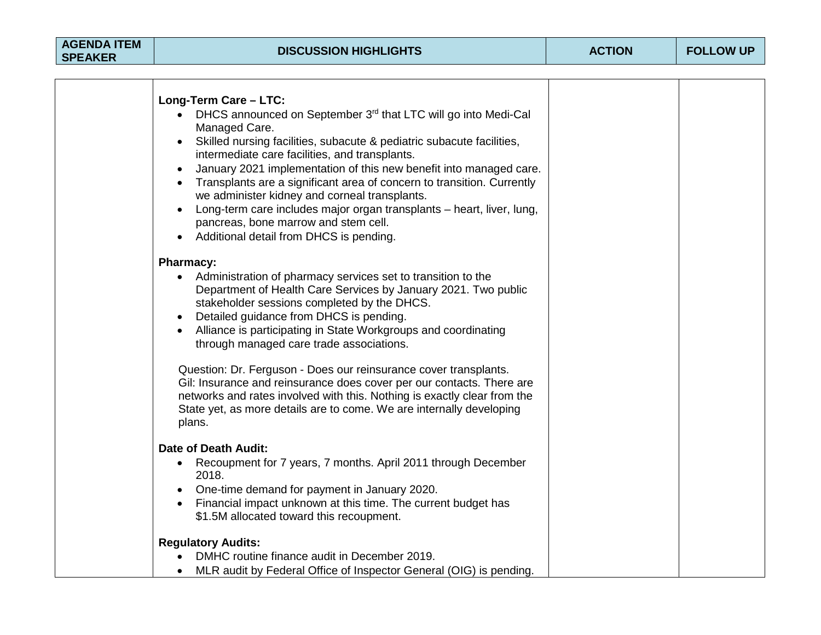| <b>AGENDA ITEM</b> |
|--------------------|
| <b>SPEAKER</b>     |

| Long-Term Care - LTC:<br>DHCS announced on September 3rd that LTC will go into Medi-Cal<br>$\bullet$<br>Managed Care.<br>Skilled nursing facilities, subacute & pediatric subacute facilities,<br>$\bullet$<br>intermediate care facilities, and transplants.<br>January 2021 implementation of this new benefit into managed care.<br>Transplants are a significant area of concern to transition. Currently<br>we administer kidney and corneal transplants.<br>Long-term care includes major organ transplants - heart, liver, lung,<br>pancreas, bone marrow and stem cell.<br>Additional detail from DHCS is pending. |  |
|----------------------------------------------------------------------------------------------------------------------------------------------------------------------------------------------------------------------------------------------------------------------------------------------------------------------------------------------------------------------------------------------------------------------------------------------------------------------------------------------------------------------------------------------------------------------------------------------------------------------------|--|
|                                                                                                                                                                                                                                                                                                                                                                                                                                                                                                                                                                                                                            |  |
| <b>Pharmacy:</b><br>• Administration of pharmacy services set to transition to the<br>Department of Health Care Services by January 2021. Two public<br>stakeholder sessions completed by the DHCS.<br>Detailed guidance from DHCS is pending.<br>Alliance is participating in State Workgroups and coordinating<br>through managed care trade associations.                                                                                                                                                                                                                                                               |  |
| Question: Dr. Ferguson - Does our reinsurance cover transplants.<br>Gil: Insurance and reinsurance does cover per our contacts. There are<br>networks and rates involved with this. Nothing is exactly clear from the<br>State yet, as more details are to come. We are internally developing<br>plans.                                                                                                                                                                                                                                                                                                                    |  |
| <b>Date of Death Audit:</b>                                                                                                                                                                                                                                                                                                                                                                                                                                                                                                                                                                                                |  |
| Recoupment for 7 years, 7 months. April 2011 through December<br>$\bullet$<br>2018.<br>One-time demand for payment in January 2020.<br>Financial impact unknown at this time. The current budget has<br>$\bullet$<br>\$1.5M allocated toward this recoupment.                                                                                                                                                                                                                                                                                                                                                              |  |
| <b>Regulatory Audits:</b>                                                                                                                                                                                                                                                                                                                                                                                                                                                                                                                                                                                                  |  |
| DMHC routine finance audit in December 2019.                                                                                                                                                                                                                                                                                                                                                                                                                                                                                                                                                                               |  |
| MLR audit by Federal Office of Inspector General (OIG) is pending.<br>$\bullet$                                                                                                                                                                                                                                                                                                                                                                                                                                                                                                                                            |  |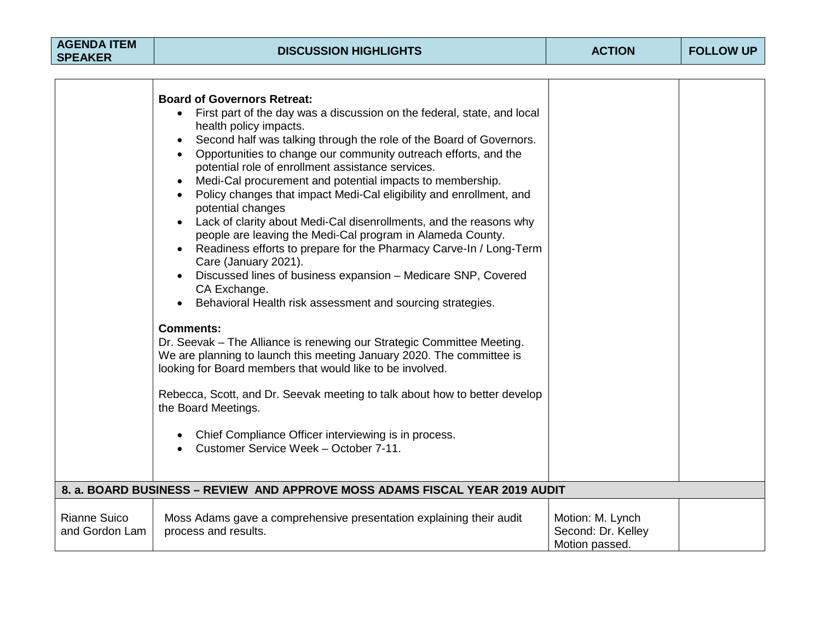| <b>AGENDA ITEM</b><br><b>SPEAKER</b>  | <b>DISCUSSION HIGHLIGHTS</b>                                                                                                                                                                                                                                                                                                                                                                                                                                                                                                                                                                                                                                                                                                                                                                                                                                                                                                                                                                                                                                                                                                                                                                                                                                                                                                            | <b>ACTION</b>                                            | <b>FOLLOW UP</b> |
|---------------------------------------|-----------------------------------------------------------------------------------------------------------------------------------------------------------------------------------------------------------------------------------------------------------------------------------------------------------------------------------------------------------------------------------------------------------------------------------------------------------------------------------------------------------------------------------------------------------------------------------------------------------------------------------------------------------------------------------------------------------------------------------------------------------------------------------------------------------------------------------------------------------------------------------------------------------------------------------------------------------------------------------------------------------------------------------------------------------------------------------------------------------------------------------------------------------------------------------------------------------------------------------------------------------------------------------------------------------------------------------------|----------------------------------------------------------|------------------|
|                                       | <b>Board of Governors Retreat:</b><br>First part of the day was a discussion on the federal, state, and local<br>health policy impacts.<br>Second half was talking through the role of the Board of Governors.<br>Opportunities to change our community outreach efforts, and the<br>potential role of enrollment assistance services.<br>Medi-Cal procurement and potential impacts to membership.<br>Policy changes that impact Medi-Cal eligibility and enrollment, and<br>potential changes<br>Lack of clarity about Medi-Cal disenrollments, and the reasons why<br>people are leaving the Medi-Cal program in Alameda County.<br>Readiness efforts to prepare for the Pharmacy Carve-In / Long-Term<br>Care (January 2021).<br>Discussed lines of business expansion - Medicare SNP, Covered<br>CA Exchange.<br>Behavioral Health risk assessment and sourcing strategies.<br><b>Comments:</b><br>Dr. Seevak - The Alliance is renewing our Strategic Committee Meeting.<br>We are planning to launch this meeting January 2020. The committee is<br>looking for Board members that would like to be involved.<br>Rebecca, Scott, and Dr. Seevak meeting to talk about how to better develop<br>the Board Meetings.<br>Chief Compliance Officer interviewing is in process.<br>$\bullet$<br>Customer Service Week - October 7-11. |                                                          |                  |
|                                       | 8. a. BOARD BUSINESS – REVIEW AND APPROVE MOSS ADAMS FISCAL YEAR 2019 AUDIT                                                                                                                                                                                                                                                                                                                                                                                                                                                                                                                                                                                                                                                                                                                                                                                                                                                                                                                                                                                                                                                                                                                                                                                                                                                             |                                                          |                  |
| <b>Rianne Suico</b><br>and Gordon Lam | Moss Adams gave a comprehensive presentation explaining their audit<br>process and results.                                                                                                                                                                                                                                                                                                                                                                                                                                                                                                                                                                                                                                                                                                                                                                                                                                                                                                                                                                                                                                                                                                                                                                                                                                             | Motion: M. Lynch<br>Second: Dr. Kelley<br>Motion passed. |                  |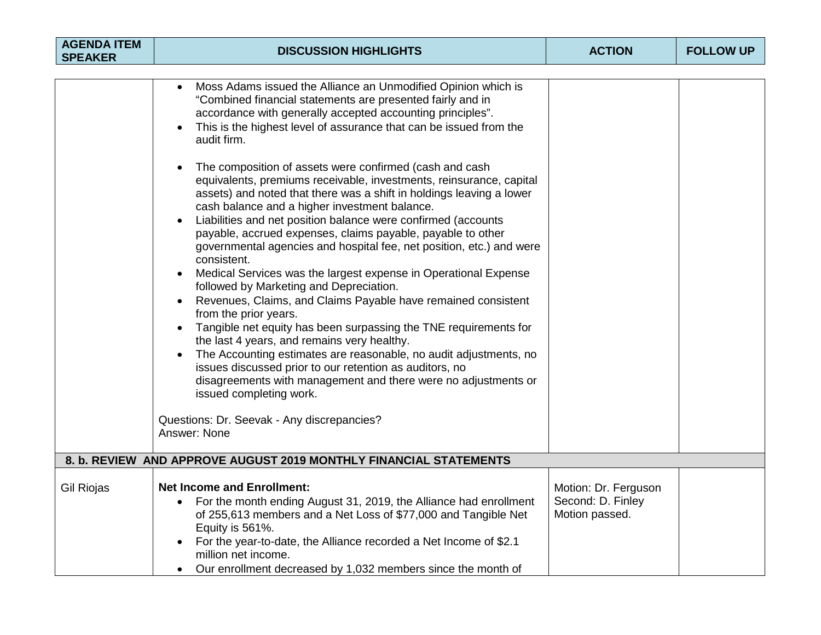| <b>AGENDA ITEM</b><br><b>SPEAKER</b> | <b>DISCUSSION HIGHLIGHTS</b>                                                                                                                                                                                                                                                                                                                                                                                        | <b>ACTION</b>                                               | <b>FOLLOW UP</b> |
|--------------------------------------|---------------------------------------------------------------------------------------------------------------------------------------------------------------------------------------------------------------------------------------------------------------------------------------------------------------------------------------------------------------------------------------------------------------------|-------------------------------------------------------------|------------------|
|                                      |                                                                                                                                                                                                                                                                                                                                                                                                                     |                                                             |                  |
|                                      | Moss Adams issued the Alliance an Unmodified Opinion which is<br>"Combined financial statements are presented fairly and in<br>accordance with generally accepted accounting principles".<br>This is the highest level of assurance that can be issued from the<br>audit firm.<br>The composition of assets were confirmed (cash and cash                                                                           |                                                             |                  |
|                                      | equivalents, premiums receivable, investments, reinsurance, capital<br>assets) and noted that there was a shift in holdings leaving a lower<br>cash balance and a higher investment balance.<br>Liabilities and net position balance were confirmed (accounts<br>payable, accrued expenses, claims payable, payable to other<br>governmental agencies and hospital fee, net position, etc.) and were<br>consistent. |                                                             |                  |
|                                      | Medical Services was the largest expense in Operational Expense<br>followed by Marketing and Depreciation.<br>Revenues, Claims, and Claims Payable have remained consistent                                                                                                                                                                                                                                         |                                                             |                  |
|                                      | from the prior years.<br>Tangible net equity has been surpassing the TNE requirements for<br>the last 4 years, and remains very healthy.<br>The Accounting estimates are reasonable, no audit adjustments, no<br>issues discussed prior to our retention as auditors, no<br>disagreements with management and there were no adjustments or<br>issued completing work.                                               |                                                             |                  |
|                                      | Questions: Dr. Seevak - Any discrepancies?<br>Answer: None                                                                                                                                                                                                                                                                                                                                                          |                                                             |                  |
|                                      | 8. b. REVIEW AND APPROVE AUGUST 2019 MONTHLY FINANCIAL STATEMENTS                                                                                                                                                                                                                                                                                                                                                   |                                                             |                  |
| <b>Gil Riojas</b>                    | <b>Net Income and Enrollment:</b><br>For the month ending August 31, 2019, the Alliance had enrollment<br>$\bullet$<br>of 255,613 members and a Net Loss of \$77,000 and Tangible Net<br>Equity is 561%.<br>For the year-to-date, the Alliance recorded a Net Income of \$2.1<br>million net income.<br>Our enrollment decreased by 1,032 members since the month of                                                | Motion: Dr. Ferguson<br>Second: D. Finley<br>Motion passed. |                  |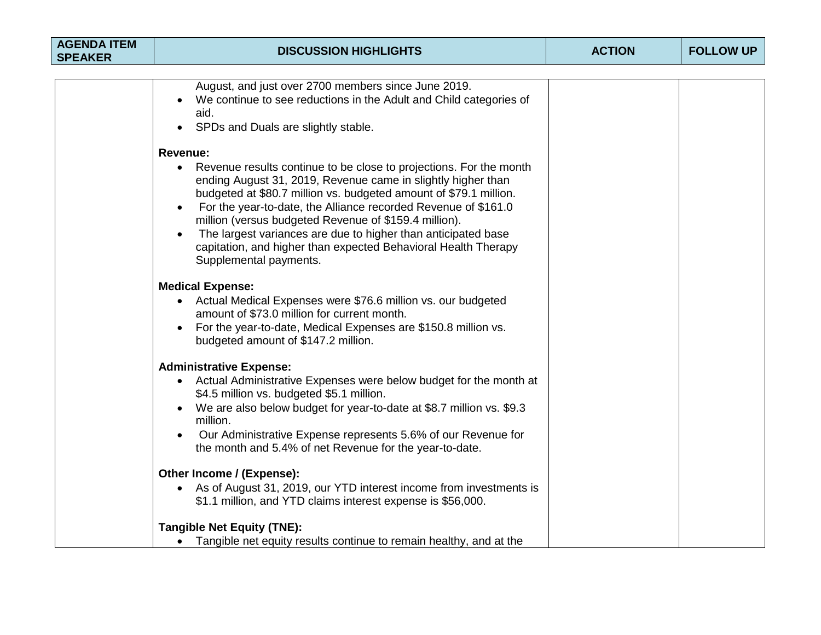| <b>AGENDA ITEM</b><br><b>SPEAKER</b> | <b>DISCUSSION HIGHLIGHTS</b>                                                                                                                                                                                                                                                                                                                                                                                                                                                                                                    | <b>ACTION</b> | <b>FOLLOW UP</b> |
|--------------------------------------|---------------------------------------------------------------------------------------------------------------------------------------------------------------------------------------------------------------------------------------------------------------------------------------------------------------------------------------------------------------------------------------------------------------------------------------------------------------------------------------------------------------------------------|---------------|------------------|
|                                      |                                                                                                                                                                                                                                                                                                                                                                                                                                                                                                                                 |               |                  |
|                                      | August, and just over 2700 members since June 2019.<br>We continue to see reductions in the Adult and Child categories of<br>aid.<br>SPDs and Duals are slightly stable.                                                                                                                                                                                                                                                                                                                                                        |               |                  |
|                                      | <b>Revenue:</b><br>Revenue results continue to be close to projections. For the month<br>ending August 31, 2019, Revenue came in slightly higher than<br>budgeted at \$80.7 million vs. budgeted amount of \$79.1 million.<br>For the year-to-date, the Alliance recorded Revenue of \$161.0<br>$\bullet$<br>million (versus budgeted Revenue of \$159.4 million).<br>The largest variances are due to higher than anticipated base<br>capitation, and higher than expected Behavioral Health Therapy<br>Supplemental payments. |               |                  |
|                                      | <b>Medical Expense:</b><br>Actual Medical Expenses were \$76.6 million vs. our budgeted<br>amount of \$73.0 million for current month.<br>For the year-to-date, Medical Expenses are \$150.8 million vs.<br>$\bullet$<br>budgeted amount of \$147.2 million.                                                                                                                                                                                                                                                                    |               |                  |
|                                      | <b>Administrative Expense:</b><br>Actual Administrative Expenses were below budget for the month at<br>\$4.5 million vs. budgeted \$5.1 million.<br>We are also below budget for year-to-date at \$8.7 million vs. \$9.3<br>million.<br>Our Administrative Expense represents 5.6% of our Revenue for<br>the month and 5.4% of net Revenue for the year-to-date.                                                                                                                                                                |               |                  |
|                                      | Other Income / (Expense):<br>• As of August 31, 2019, our YTD interest income from investments is<br>\$1.1 million, and YTD claims interest expense is \$56,000.                                                                                                                                                                                                                                                                                                                                                                |               |                  |
|                                      | <b>Tangible Net Equity (TNE):</b>                                                                                                                                                                                                                                                                                                                                                                                                                                                                                               |               |                  |
|                                      | • Tangible net equity results continue to remain healthy, and at the                                                                                                                                                                                                                                                                                                                                                                                                                                                            |               |                  |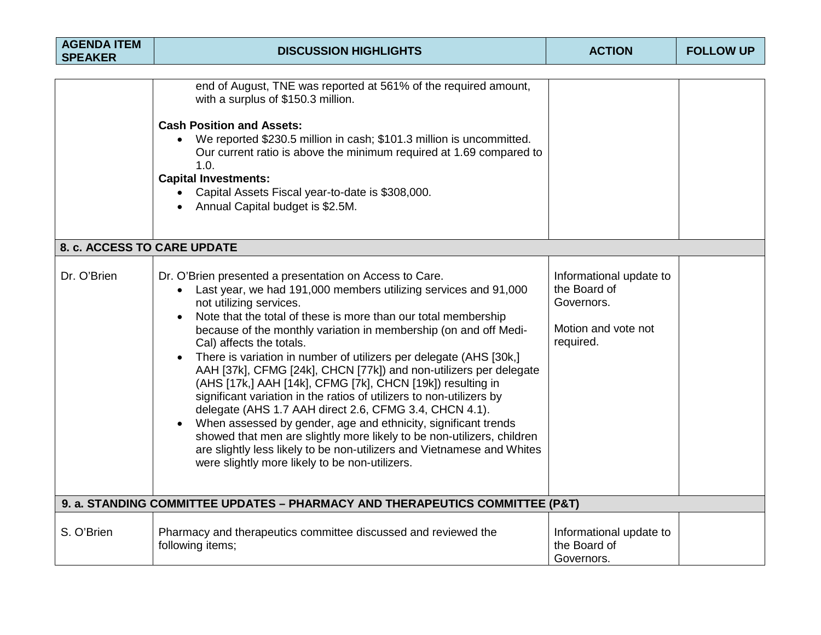| <b>AGENDA ITEM</b><br><b>SPEAKER</b> | <b>DISCUSSION HIGHLIGHTS</b>                                                                                                                                                                                                                                                                                                                                                                                                                                                                                                                                                                                                                                                                                                                                                                                                                                                                                                                            | <b>ACTION</b>                                                                             | <b>FOLLOW UP</b> |
|--------------------------------------|---------------------------------------------------------------------------------------------------------------------------------------------------------------------------------------------------------------------------------------------------------------------------------------------------------------------------------------------------------------------------------------------------------------------------------------------------------------------------------------------------------------------------------------------------------------------------------------------------------------------------------------------------------------------------------------------------------------------------------------------------------------------------------------------------------------------------------------------------------------------------------------------------------------------------------------------------------|-------------------------------------------------------------------------------------------|------------------|
|                                      |                                                                                                                                                                                                                                                                                                                                                                                                                                                                                                                                                                                                                                                                                                                                                                                                                                                                                                                                                         |                                                                                           |                  |
|                                      | end of August, TNE was reported at 561% of the required amount,<br>with a surplus of \$150.3 million.<br><b>Cash Position and Assets:</b><br>We reported \$230.5 million in cash; \$101.3 million is uncommitted.<br>$\bullet$<br>Our current ratio is above the minimum required at 1.69 compared to<br>1.0.<br><b>Capital Investments:</b><br>• Capital Assets Fiscal year-to-date is \$308,000.<br>Annual Capital budget is \$2.5M.                                                                                                                                                                                                                                                                                                                                                                                                                                                                                                                  |                                                                                           |                  |
| 8. c. ACCESS TO CARE UPDATE          |                                                                                                                                                                                                                                                                                                                                                                                                                                                                                                                                                                                                                                                                                                                                                                                                                                                                                                                                                         |                                                                                           |                  |
| Dr. O'Brien                          | Dr. O'Brien presented a presentation on Access to Care.<br>Last year, we had 191,000 members utilizing services and 91,000<br>$\bullet$<br>not utilizing services.<br>Note that the total of these is more than our total membership<br>because of the monthly variation in membership (on and off Medi-<br>Cal) affects the totals.<br>There is variation in number of utilizers per delegate (AHS [30k,]<br>AAH [37k], CFMG [24k], CHCN [77k]) and non-utilizers per delegate<br>(AHS [17k,] AAH [14k], CFMG [7k], CHCN [19k]) resulting in<br>significant variation in the ratios of utilizers to non-utilizers by<br>delegate (AHS 1.7 AAH direct 2.6, CFMG 3.4, CHCN 4.1).<br>When assessed by gender, age and ethnicity, significant trends<br>showed that men are slightly more likely to be non-utilizers, children<br>are slightly less likely to be non-utilizers and Vietnamese and Whites<br>were slightly more likely to be non-utilizers. | Informational update to<br>the Board of<br>Governors.<br>Motion and vote not<br>required. |                  |
|                                      | 9. a. STANDING COMMITTEE UPDATES - PHARMACY AND THERAPEUTICS COMMITTEE (P&T)                                                                                                                                                                                                                                                                                                                                                                                                                                                                                                                                                                                                                                                                                                                                                                                                                                                                            |                                                                                           |                  |
| S. O'Brien                           | Pharmacy and therapeutics committee discussed and reviewed the<br>following items;                                                                                                                                                                                                                                                                                                                                                                                                                                                                                                                                                                                                                                                                                                                                                                                                                                                                      | Informational update to<br>the Board of<br>Governors.                                     |                  |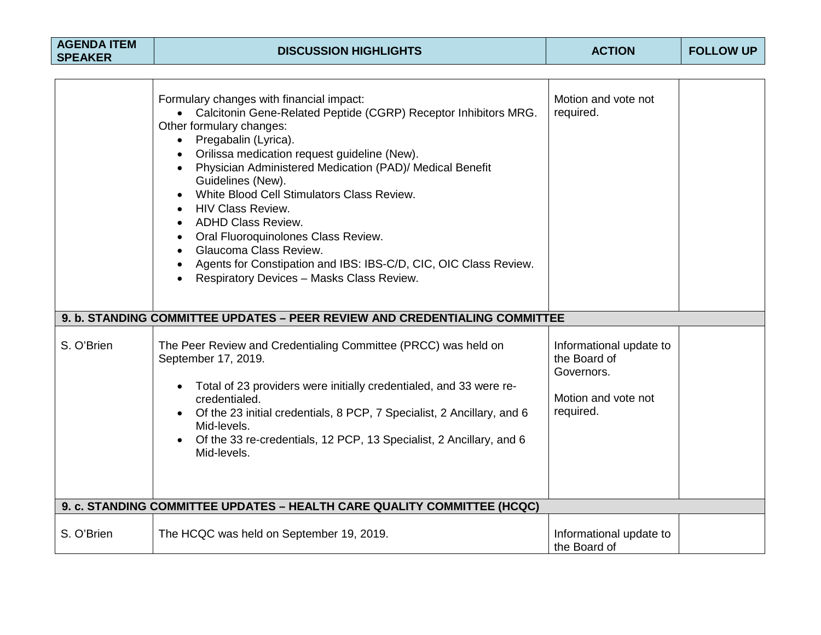| <b>AGENDA ITEM</b><br><b>SPEAKER</b> | <b>DISCUSSION HIGHLIGHTS</b>                                                                                                                                                                                                                                                                                                                                                                                                                                                                                                                                                                  | <b>ACTION</b>                                                                             | <b>FOLLOW UP</b> |
|--------------------------------------|-----------------------------------------------------------------------------------------------------------------------------------------------------------------------------------------------------------------------------------------------------------------------------------------------------------------------------------------------------------------------------------------------------------------------------------------------------------------------------------------------------------------------------------------------------------------------------------------------|-------------------------------------------------------------------------------------------|------------------|
|                                      | Formulary changes with financial impact:<br>• Calcitonin Gene-Related Peptide (CGRP) Receptor Inhibitors MRG.<br>Other formulary changes:<br>• Pregabalin (Lyrica).<br>Orilissa medication request guideline (New).<br>Physician Administered Medication (PAD)/ Medical Benefit<br>Guidelines (New).<br>White Blood Cell Stimulators Class Review.<br><b>HIV Class Review.</b><br><b>ADHD Class Review.</b><br>Oral Fluoroquinolones Class Review.<br>Glaucoma Class Review.<br>Agents for Constipation and IBS: IBS-C/D, CIC, OIC Class Review.<br>Respiratory Devices - Masks Class Review. | Motion and vote not<br>required.                                                          |                  |
|                                      | 9. b. STANDING COMMITTEE UPDATES - PEER REVIEW AND CREDENTIALING COMMITTEE                                                                                                                                                                                                                                                                                                                                                                                                                                                                                                                    |                                                                                           |                  |
| S. O'Brien                           | The Peer Review and Credentialing Committee (PRCC) was held on<br>September 17, 2019.<br>Total of 23 providers were initially credentialed, and 33 were re-<br>credentialed.<br>Of the 23 initial credentials, 8 PCP, 7 Specialist, 2 Ancillary, and 6<br>Mid-levels.<br>Of the 33 re-credentials, 12 PCP, 13 Specialist, 2 Ancillary, and 6<br>Mid-levels.                                                                                                                                                                                                                                   | Informational update to<br>the Board of<br>Governors.<br>Motion and vote not<br>required. |                  |
|                                      | 9. c. STANDING COMMITTEE UPDATES - HEALTH CARE QUALITY COMMITTEE (HCQC)                                                                                                                                                                                                                                                                                                                                                                                                                                                                                                                       |                                                                                           |                  |
| S. O'Brien                           | The HCQC was held on September 19, 2019.                                                                                                                                                                                                                                                                                                                                                                                                                                                                                                                                                      | Informational update to<br>the Board of                                                   |                  |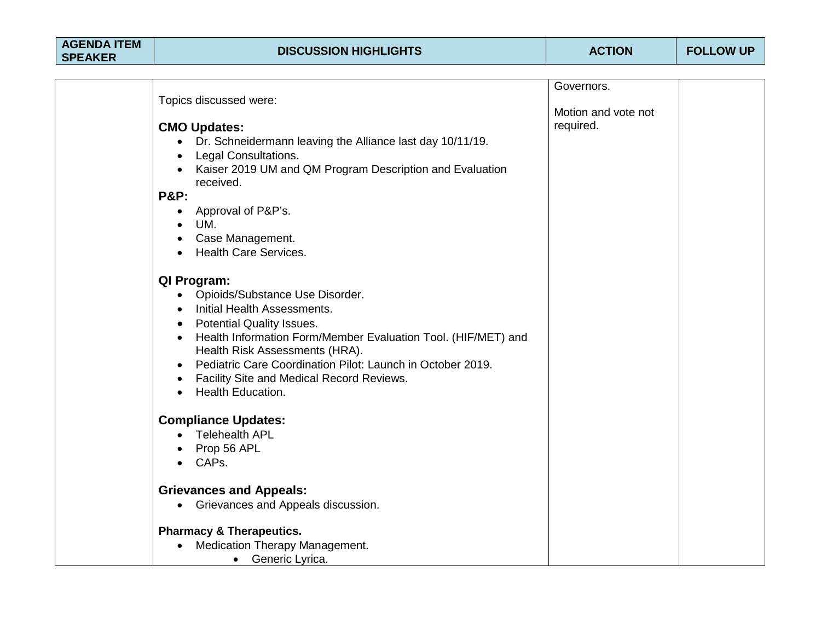| <b>AGENDA ITEM</b> |
|--------------------|
| <b>SPEAKER</b>     |

|                                                                                    | Governors.          |  |
|------------------------------------------------------------------------------------|---------------------|--|
| Topics discussed were:                                                             |                     |  |
|                                                                                    | Motion and vote not |  |
| <b>CMO Updates:</b>                                                                | required.           |  |
| Dr. Schneidermann leaving the Alliance last day 10/11/19.<br>$\bullet$             |                     |  |
| <b>Legal Consultations.</b><br>$\bullet$                                           |                     |  |
| Kaiser 2019 UM and QM Program Description and Evaluation                           |                     |  |
| received.                                                                          |                     |  |
| <b>P&amp;P:</b>                                                                    |                     |  |
| Approval of P&P's.                                                                 |                     |  |
| UM.                                                                                |                     |  |
| Case Management.                                                                   |                     |  |
| <b>Health Care Services.</b>                                                       |                     |  |
|                                                                                    |                     |  |
| QI Program:                                                                        |                     |  |
| • Opioids/Substance Use Disorder.                                                  |                     |  |
| Initial Health Assessments.<br>$\bullet$                                           |                     |  |
| <b>Potential Quality Issues.</b>                                                   |                     |  |
| $\bullet$<br>Health Information Form/Member Evaluation Tool. (HIF/MET) and         |                     |  |
| Health Risk Assessments (HRA).                                                     |                     |  |
| Pediatric Care Coordination Pilot: Launch in October 2019.<br>$\bullet$            |                     |  |
|                                                                                    |                     |  |
| Facility Site and Medical Record Reviews.<br>$\bullet$<br><b>Health Education.</b> |                     |  |
|                                                                                    |                     |  |
| <b>Compliance Updates:</b>                                                         |                     |  |
| • Telehealth APL                                                                   |                     |  |
|                                                                                    |                     |  |
| Prop 56 APL                                                                        |                     |  |
| CAPs.                                                                              |                     |  |
| <b>Grievances and Appeals:</b>                                                     |                     |  |
| Grievances and Appeals discussion.<br>$\bullet$                                    |                     |  |
|                                                                                    |                     |  |
| <b>Pharmacy &amp; Therapeutics.</b>                                                |                     |  |
| Medication Therapy Management.                                                     |                     |  |
| Generic Lyrica.<br>$\bullet$                                                       |                     |  |